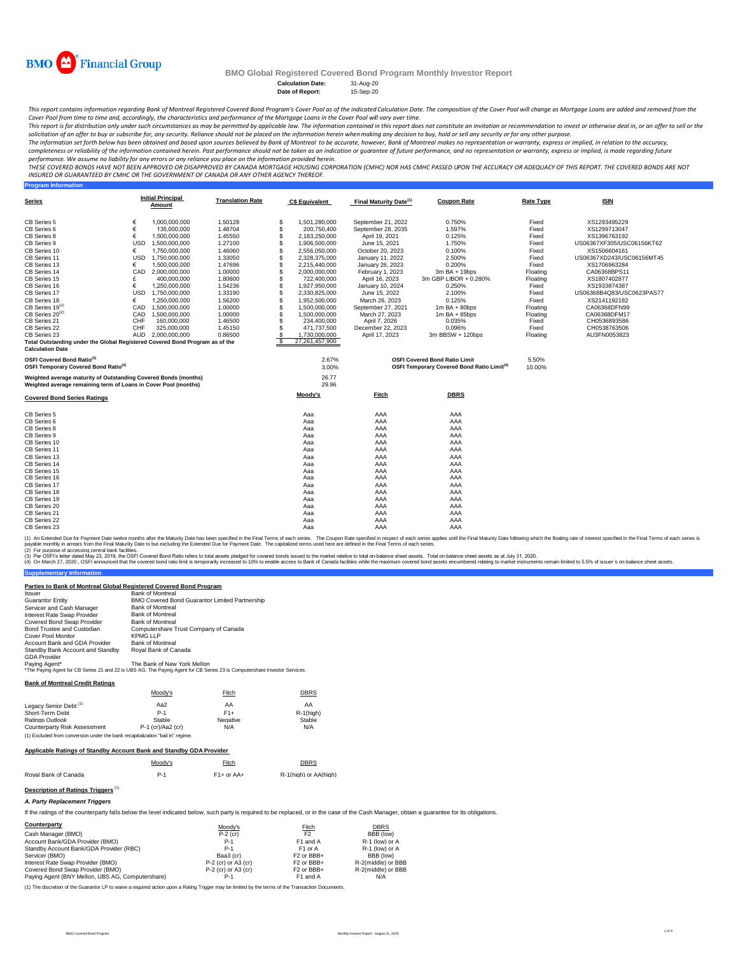

**Program Information**

## **BMO Global Registered Covered Bond Program Monthly Investor Report**

**Calculation Date:** 31-Aug-20 **Date of Report:** 

This report contains information regarding Bank of Montreal Registered Covered Bond Program's Cover Pool as of the indicated Calculation Date. The composition of the Cover Pool will change as Mortgage Loans are added and r *Cover Pool from time to time and, accordingly, the characteristics and performance of the Mortgage Loans in the Cover Pool will vary over time.*

This report is for distribution only under such circumstances as may be permitted by applicable law. The information contained in this report does not constitute an invitation or recommendation to invest or otherwise deal

The information set forth below has been obtained and based upon sources believed by Bank of Montreal co be accurate, however, Bank of Montreal makes no representation or warranty, express or implied, in relation to the ac

performance. We assume no liability for any errors or any reliance you place on the information provided herein.<br>THESE COVERED BONDS HAVE NOT BEEN APPROVED BO DISAPPROVED BY CANADA MORTGAGE HOUSING CORPORATION (CMHC) NOR H *INSURED OR GUARANTEED BY CMHC OR THE GOVERNMENT OF CANADA OR ANY OTHER AGENCY THEREOF.*

| Series                                                                                     | <b>Initial Principal</b><br>Amount                                                                                                 | <b>Translation Rate</b> | <b>C\$ Equivalent</b> | Final Maturity Date <sup>(1)</sup> | <b>Coupon Rate</b>                                                                                   | Rate Type       | <b>ISIN</b>               |
|--------------------------------------------------------------------------------------------|------------------------------------------------------------------------------------------------------------------------------------|-------------------------|-----------------------|------------------------------------|------------------------------------------------------------------------------------------------------|-----------------|---------------------------|
| CB Series 5                                                                                | €<br>1.000.000.000                                                                                                                 | 1.50128                 | S<br>1,501,280,000    | September 21, 2022                 | 0.750%                                                                                               | Fixed           | XS1293495229              |
| CB Series 6                                                                                | €<br>135,000,000                                                                                                                   | 1.48704                 | \$<br>200,750,400     | September 28, 2035                 | 1.597%                                                                                               | Fixed           | XS1299713047              |
| CB Series 8                                                                                | €<br>1,500,000,000                                                                                                                 | 1.45550                 | \$<br>2,183,250,000   | April 19, 2021                     | 0.125%                                                                                               | Fixed           | XS1396763192              |
| CB Series 9                                                                                | <b>USD</b><br>1,500,000,000                                                                                                        | 1.27100                 | \$<br>1,906,500,000   | June 15, 2021                      | 1.750%                                                                                               | Fixed           | US06367XF305/USC06156KT62 |
| CB Series 10                                                                               | 1.750.000.000<br>€                                                                                                                 | 1.46060                 | S<br>2,556,050,000    | October 20, 2023                   | 0.100%                                                                                               | Fixed           | XS1506604161              |
| CB Series 11                                                                               | <b>USD</b><br>1.750.000.000                                                                                                        | 1.33050                 | S<br>2.328.375.000    | January 11, 2022                   | 2.500%                                                                                               | Fixed           | US06367XD243/USC06156MT45 |
| CB Series 13                                                                               | 1,500,000,000<br>€                                                                                                                 | 1.47696                 | S<br>2,215,440,000    | January 26, 2023                   | 0.200%                                                                                               | Fixed           | XS1706963284              |
| CB Series 14                                                                               | CAD<br>2,000,000,000                                                                                                               | 1.00000                 | 2,000,000,000         | February 1, 2023                   | 3m BA + 19bps                                                                                        | Floating        | CA06368BPS11              |
| CB Series 15                                                                               | 400.000.000                                                                                                                        | 1.80600                 | S<br>722.400.000      | April 16, 2023                     | 3m GBP LIBOR + 0.280%                                                                                | Floating        | XS1807402877              |
| CB Series 16                                                                               | €<br>1,250,000,000                                                                                                                 | 1.54236                 | S<br>1,927,950,000    | January 10, 2024                   | 0.250%                                                                                               | Fixed           | XS1933874387              |
| CB Series 17                                                                               | USD 1,750,000,000                                                                                                                  | 1.33190                 | S<br>2,330,825,000    | June 15, 2022                      | 2.100%                                                                                               | Fixed           | US06368B4Q83/USC0623PAS77 |
| CB Series 18                                                                               | 1.250.000.000<br>€                                                                                                                 | 1.56200                 | \$<br>1,952,500,000   | March 26, 2023                     | 0.125%                                                                                               | Fixed           | XS2141192182              |
| $CB$ Series 19 $^{(2)}$                                                                    | CAD<br>1.500.000.000                                                                                                               | 1.00000                 | \$<br>1.500.000.000   | September 27, 2021                 | $1m$ BA + 80bps                                                                                      | Floating        | CA06368DFN99              |
| $CB$ Series 20 <sup>(2)</sup>                                                              | CAD<br>1,500,000,000                                                                                                               | 1.00000                 | 1,500,000,000         | March 27, 2023                     | $1m$ BA + 85bps                                                                                      | Floating        | CA06368DFM17              |
| CB Series 21                                                                               | CHF<br>160,000,000                                                                                                                 | 1.46500                 | \$<br>234,400,000     | April 7, 2026                      | 0.035%                                                                                               | Fixed           | CH0536893586              |
| CB Series 22                                                                               | CHF<br>325,000,000                                                                                                                 | 1.45150                 | 471,737,500           | December 22, 2023                  | 0.096%                                                                                               | Fixed           | CH0538763506              |
| CB Series 23                                                                               | AUD 2.000.000.000                                                                                                                  | 0.86500                 | 1,730,000,000         | April 17, 2023                     | 3m BBSW + 120bps                                                                                     | Floating        | AU3FN0053823              |
| <b>Calculation Date</b>                                                                    | Total Outstanding under the Global Registered Covered Bond Program as of the                                                       |                         | -S<br>27.261.457.900  |                                    |                                                                                                      |                 |                           |
| OSFI Covered Bond Ratio <sup>(3)</sup><br>OSFI Temporary Covered Bond Ratio <sup>(4)</sup> |                                                                                                                                    |                         | 2.67%<br>3.00%        |                                    | <b>OSFI Covered Bond Ratio Limit</b><br><b>OSFI Temporary Covered Bond Ratio Limit<sup>(4)</sup></b> | 5.50%<br>10.00% |                           |
|                                                                                            | Weighted average maturity of Outstanding Covered Bonds (months)<br>Weighted average remaining term of Loans in Cover Pool (months) |                         | 26.77<br>29.96        |                                    |                                                                                                      |                 |                           |
| <b>Covered Bond Series Ratings</b>                                                         |                                                                                                                                    |                         | <u>Moody's</u>        | <b>Fitch</b>                       | <b>DBRS</b>                                                                                          |                 |                           |
| CB Series 5                                                                                |                                                                                                                                    |                         | Aaa                   | AAA                                | AAA                                                                                                  |                 |                           |
| CB Series 6                                                                                |                                                                                                                                    |                         | Aaa                   | AAA                                | AAA                                                                                                  |                 |                           |
| CB Series 8                                                                                |                                                                                                                                    |                         | Aaa                   | AAA                                | AAA                                                                                                  |                 |                           |
| CB Series 9                                                                                |                                                                                                                                    |                         | Aaa                   | AAA                                | AAA                                                                                                  |                 |                           |
| CB Series 10                                                                               |                                                                                                                                    |                         | Aaa                   | AAA                                | AAA                                                                                                  |                 |                           |
| CB Series 11                                                                               |                                                                                                                                    |                         | Aaa                   | AAA                                | AAA                                                                                                  |                 |                           |
| CB Series 13                                                                               |                                                                                                                                    |                         | Aaa                   | AAA                                | AAA                                                                                                  |                 |                           |
| CB Series 14                                                                               |                                                                                                                                    |                         | Aaa                   | AAA                                | AAA                                                                                                  |                 |                           |
| CB Series 15                                                                               |                                                                                                                                    |                         | Aaa                   | AAA                                | AAA                                                                                                  |                 |                           |
| CB Series 16                                                                               |                                                                                                                                    |                         | Aaa                   | AAA                                | AAA                                                                                                  |                 |                           |
| CB Series 17                                                                               |                                                                                                                                    |                         | Aaa                   | AAA                                | AAA                                                                                                  |                 |                           |
| CB Series 18                                                                               |                                                                                                                                    |                         | Aaa                   | AAA                                | AAA                                                                                                  |                 |                           |
| CB Series 19                                                                               |                                                                                                                                    |                         | Aaa                   | AAA                                | AAA                                                                                                  |                 |                           |
| CB Series 20                                                                               |                                                                                                                                    |                         | Aaa                   | AAA                                | AAA                                                                                                  |                 |                           |
| CB Series 21                                                                               |                                                                                                                                    |                         | Aaa                   | AAA                                | AAA                                                                                                  |                 |                           |
| CB Series 22                                                                               |                                                                                                                                    |                         | Aaa                   | AAA                                | AAA                                                                                                  |                 |                           |
| CB Series 23                                                                               |                                                                                                                                    |                         | Aaa                   | AAA                                | AAA                                                                                                  |                 |                           |

(1) An Extended Due for Payment Date twelve months after the Maturity Date has been specified in the Final of each series in the Coupon Rate specified in the Final Toms of each series is. The Capitalized terms used ferres

(2) For purpose of accessing central bank facilities.

(3) Per OSFIs etter dated May 23, 2019, the OSFI Covered bond ratio refers to total assets pledged for covered bond issued to the market relative to tala on-balance sheet assets. Total on-balance sheet assets and the balan

**Supplementary Information** Issuer Bank of Montreal BMO Covered Bond Guarantor Limited Partnership Guarantor Entity Servicer and Cash Manager Bank of Montreal Interest Rate Swap Provider Bank of Montreal Covered Bond Swap Provider Bank of Montreal **Bond Trustee and Custodian** Computershare Trust Company of Canada<br>Cover Pool Monitor KPMG LLP Cover Pool Monitor<br>Account Bank and GDA Provider Bank of Montreal<br>Standby Bank Account and Standby Royal Bank of Ca GDA Provider<br>Paying Agent\*<br>\*The Paying Age Paying Agent\*<br>\*The Paying Agent for CB Series 21 and 22 is UBS AG. The Paying Agent for CB Series 23 is Computershare Investor Services. Rende Lur<br>Bank of Montreal<br>Royal Bank of Canada **Parties to Bank of Montreal Global Registered Covered Bond Program**

**Bank of Montreal Credit Ratings**

|                                                                                | Moody's             | Fitch    | <b>DBRS</b>  |
|--------------------------------------------------------------------------------|---------------------|----------|--------------|
| Legacy Senior Debt <sup>(1)</sup>                                              | Aa2                 | AA       | AA           |
| Short-Term Debt                                                                | $P-1$               | $F1+$    | $R-1$ (high) |
| Ratings Outlook                                                                | Stable              | Negative | Stable       |
| Counterparty Risk Assessment                                                   | $P-1$ (cr)/Aa2 (cr) | N/A      | N/A          |
| (1) Excluded from conversion under the bank recapitalization "bail in" regime. |                     |          |              |

#### **Applicable Ratings of Standby Account Bank and Standby GDA Provider**

|                      | Moodv's | Fitch        | DBRS                  |
|----------------------|---------|--------------|-----------------------|
| Royal Bank of Canada |         | $F1+$ or AA+ | R-1(high) or AA(high) |

**Description of Ratings Triggers** (1)

#### *A. Party Replacement Triggers*

If the ratings of the counterparty falls below the level indicated below, such party is required to be replaced, or in the case of the Cash Manager, obtain a quarantee for its obligations.

| Counterparty                                     | Moody's               | Fitch                             | <b>DBRS</b>        |
|--------------------------------------------------|-----------------------|-----------------------------------|--------------------|
| Cash Manager (BMO)                               | $P-2$ (cr)            | F <sub>2</sub>                    | BBB (low)          |
| Account Bank/GDA Provider (BMO)                  | $P-1$                 | F1 and A                          | R-1 (low) or A     |
| Standby Account Bank/GDA Provider (RBC)          | $P-1$                 | F <sub>1</sub> or A               | R-1 (low) or A     |
| Servicer (BMO)                                   | Baa3 (cr)             | F <sub>2</sub> or BB <sub>+</sub> | BBB (low)          |
| Interest Rate Swap Provider (BMO)                | P-2 (cr) or A3 (cr)   | F <sub>2</sub> or BB <sub>H</sub> | R-2(middle) or BBB |
| Covered Bond Swap Provider (BMO)                 | $P-2$ (cr) or A3 (cr) | F <sub>2</sub> or BBB+            | R-2(middle) or BBB |
| Paving Agent (BNY Mellon, UBS AG, Computershare) | $P-1$                 | F1 and A                          | N/A                |

(1) The discretion of the Guarantor LP to waive a required action upon a Rating Trigger may be limited by the terms of the Transaction Documents.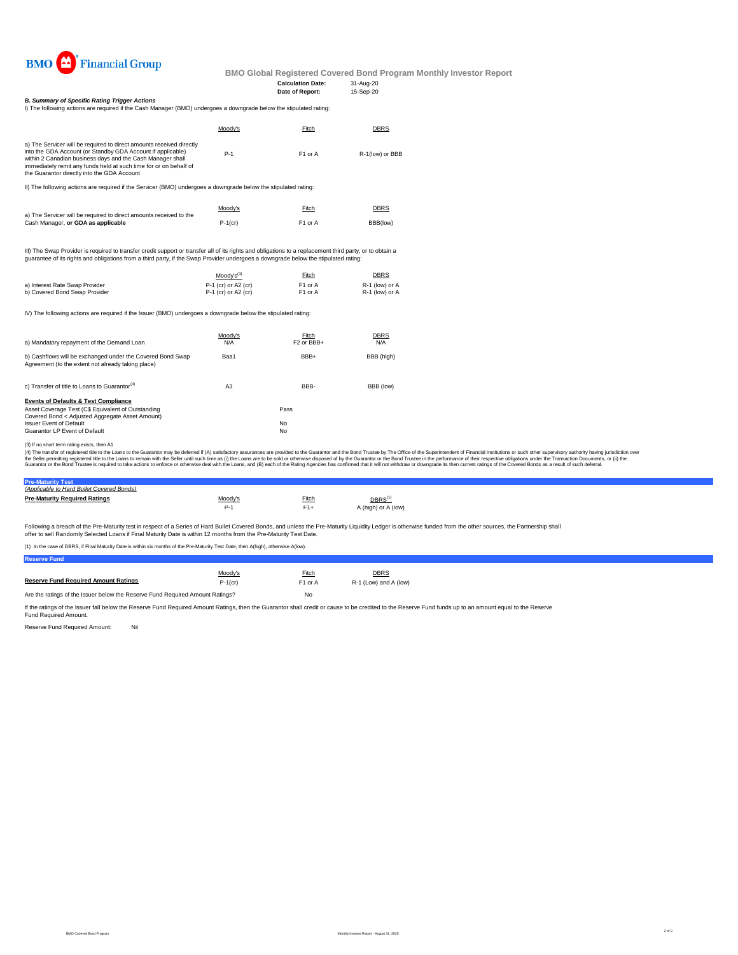

#### **Calculation Date:** 31-Aug-20 **Date of Report:**

I) The following actions are required if the Cash Manager (BMO) undergoes a downgrade below the stipulated rating: *B. Summary of Specific Rating Trigger Actions*

|                                                                                                                                                                                                                                                                                                                       | <u>ILITE IUINWIIN AGUUIS AIC ICUUICU II UIC GASITIVIAHAUCI (DIVIO) UHUCIUOCS A UUWINIAUC DCIUW UIC SUDUIAUCU IAUNU.</u> |                     |                 |  |  |  |
|-----------------------------------------------------------------------------------------------------------------------------------------------------------------------------------------------------------------------------------------------------------------------------------------------------------------------|-------------------------------------------------------------------------------------------------------------------------|---------------------|-----------------|--|--|--|
|                                                                                                                                                                                                                                                                                                                       | Moodv's                                                                                                                 | Fitch               | <b>DBRS</b>     |  |  |  |
| a) The Servicer will be required to direct amounts received directly<br>into the GDA Account (or Standby GDA Account if applicable)<br>within 2 Canadian business days and the Cash Manager shall<br>immediately remit any funds held at such time for or on behalf of<br>the Guarantor directly into the GDA Account | $P-1$                                                                                                                   | F <sub>1</sub> or A | R-1(low) or BBB |  |  |  |
|                                                                                                                                                                                                                                                                                                                       |                                                                                                                         |                     |                 |  |  |  |

II) The following actions are required if the Servicer (BMO) undergoes a downgrade below the stipulated rating:

|                                                                                                          | Moody's    | Fitch               | <b>DBRS</b> |
|----------------------------------------------------------------------------------------------------------|------------|---------------------|-------------|
| a) The Servicer will be required to direct amounts received to the<br>Cash Manager, or GDA as applicable | $P-1$ (cr) | F <sub>1</sub> or A | BBB(low)    |

III) The Swap Provider is required to transfer credit support or transfer all of its rights and obligations to a replacement third party, or to obtain a<br>guarantee of its rights and obligations from a third party, if the Sw

|                                | $Mody's^{(3)}$        | Fitch               | <b>DBRS</b>    |
|--------------------------------|-----------------------|---------------------|----------------|
| a) Interest Rate Swap Provider | $P-1$ (cr) or A2 (cr) | F <sub>1</sub> or A | R-1 (low) or A |
| b) Covered Bond Swap Provider  | $P-1$ (cr) or A2 (cr) | F1 or A             | R-1 (low) or A |

IV) The following actions are required if the Issuer (BMO) undergoes a downgrade below the stipulated rating:

| a) Mandatory repayment of the Demand Loan                                                                        | Moody's<br>N/A | Fitch<br>F <sub>2</sub> or BB <sub>+</sub> | <b>DBRS</b><br>N/A |
|------------------------------------------------------------------------------------------------------------------|----------------|--------------------------------------------|--------------------|
| b) Cashflows will be exchanged under the Covered Bond Swap<br>Agreement (to the extent not already taking place) | Baa1           | BBB+                                       | BBB (high)         |
| c) Transfer of title to Loans to Guarantor <sup>(4)</sup>                                                        | A3             | BBB-                                       | BBB (low)          |
| <b>Events of Defaults &amp; Test Compliance</b>                                                                  |                |                                            |                    |
| Asset Coverage Test (C\$ Equivalent of Outstanding<br>Covered Bond < Adjusted Aggregate Asset Amount)            |                | Pass                                       |                    |
| <b>Issuer Event of Default</b>                                                                                   |                | No                                         |                    |
| Guarantor LP Event of Default                                                                                    |                | No                                         |                    |

(3) If no short term rating exists, then A1

(4) The transfer of registered title to the Loans to the Guarantor may be deferred if (A) satisfactory assurances are provided to the Guarantor and the Bond Trustee by The Office of the Superintendent of Financial Institut

## **Pre-Maturity Test** *(Applicable to Hard Bullet Covered Bonds)*

| <b>Pre-Maturity Required Ratings</b> | Moody's | Fitch | $\mathsf{DBRS}^\mathsf{(1)}$ |
|--------------------------------------|---------|-------|------------------------------|
|                                      |         |       | A (high) or A (low)          |

Following a breach of the Pre-Maturity test in respect of a Series of Hard Bullet Covered Bonds, and unless the Pre-Maturity Liquidity Ledger is otherwise funded from the other sources, the Partnership shall offer to sell Randomly Selected Loans if Final Maturity Date is within 12 months from the Pre-Maturity Test Date.

(1) In the case of DBRS, if Final Maturity Date is within six months of the Pre-Maturity Test Date, then A(high), otherwise A(low).

**Reserve Fund**

|                                                                               | Moody's    | Fitch               | <b>DBRS</b>           |  |
|-------------------------------------------------------------------------------|------------|---------------------|-----------------------|--|
| <b>Reserve Fund Required Amount Ratings</b>                                   | $P-1$ (cr) | F <sub>1</sub> or A | R-1 (Low) and A (low) |  |
| Are the ratings of the Issuer below the Reserve Fund Required Amount Ratings? |            | No                  |                       |  |

If the ratings of the Issuer fall below the Reserve Fund Required Amount Ratings, then the Guarantor shall credit or cause to be credited to the Reserve Fund funds up to an amount equal to the Reserve<br>Fund Required Amount.

Reserve Fund Required Amount: Nil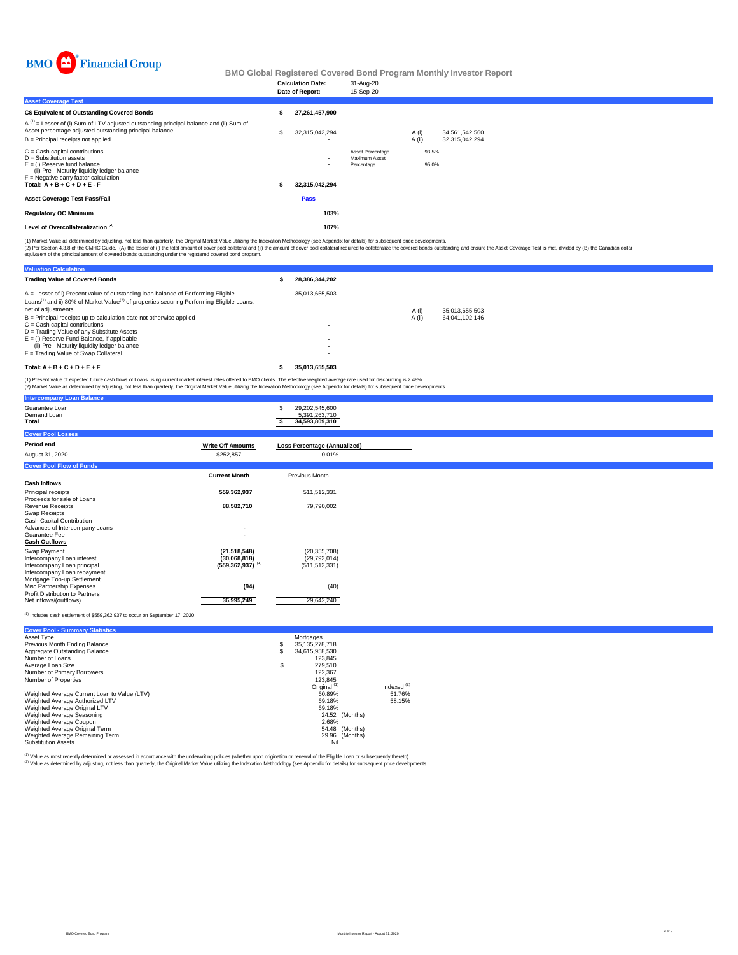

|                                                                                                                                                                                                                      |   | <b>Calculation Date:</b><br>Date of Report: | 31-Aug-20<br>15-Sep-20                          |                 |                |                                  |  |
|----------------------------------------------------------------------------------------------------------------------------------------------------------------------------------------------------------------------|---|---------------------------------------------|-------------------------------------------------|-----------------|----------------|----------------------------------|--|
| <b>Asset Coverage Test</b>                                                                                                                                                                                           |   |                                             |                                                 |                 |                |                                  |  |
| C\$ Equivalent of Outstanding Covered Bonds                                                                                                                                                                          |   | 27,261,457,900                              |                                                 |                 |                |                                  |  |
| $A^{(1)}$ = Lesser of (i) Sum of LTV adjusted outstanding principal balance and (ii) Sum of<br>Asset percentage adjusted outstanding principal balance<br>B = Principal receipts not applied                         | S | 32,315,042,294<br>$\overline{\phantom{0}}$  |                                                 | A (i)<br>A (ii) |                | 34.561.542.560<br>32,315,042,294 |  |
| C = Cash capital contributions<br>D = Substitution assets<br>E = (i) Reserve fund balance<br>(ii) Pre - Maturity liquidity ledger balance<br>F = Negative carry factor calculation<br>Total: $A + B + C + D + E - F$ |   | $\overline{\phantom{a}}$<br>32,315,042,294  | Asset Percentage<br>Maximum Asset<br>Percentage |                 | 93.5%<br>95.0% |                                  |  |
| Asset Coverage Test Pass/Fail                                                                                                                                                                                        |   | Pass                                        |                                                 |                 |                |                                  |  |
| <b>Regulatory OC Minimum</b>                                                                                                                                                                                         |   | 103%                                        |                                                 |                 |                |                                  |  |
| Level of Overcollateralization <sup>(2)</sup>                                                                                                                                                                        |   | 107%                                        |                                                 |                 |                |                                  |  |
|                                                                                                                                                                                                                      |   |                                             |                                                 |                 |                |                                  |  |

(1) Market Value as determined by adjusting, not less than quarterly, the Original Market Value utilizing the Indexation Methodology (see Appendix for details) for subsequent price developments.<br>(2) Per Section 4.3.8 of th

| <b>Valuation Calculation</b>                                                                                                                                                                           |                |        |                |
|--------------------------------------------------------------------------------------------------------------------------------------------------------------------------------------------------------|----------------|--------|----------------|
| <b>Trading Value of Covered Bonds</b>                                                                                                                                                                  | 28.386.344.202 |        |                |
| A = Lesser of i) Present value of outstanding loan balance of Performing Eligible<br>Loans <sup>(1)</sup> and ii) 80% of Market Value <sup>(2)</sup> of properties securing Performing Eligible Loans, | 35.013.655.503 |        |                |
| net of adiustments                                                                                                                                                                                     |                | A (i)  | 35.013.655.503 |
| B = Principal receipts up to calculation date not otherwise applied                                                                                                                                    |                | A (ii) | 64.041.102.146 |
| C = Cash capital contributions                                                                                                                                                                         |                |        |                |
| D = Trading Value of any Substitute Assets                                                                                                                                                             |                |        |                |
| E = (i) Reserve Fund Balance, if applicable                                                                                                                                                            |                |        |                |
| (ii) Pre - Maturity liquidity ledger balance                                                                                                                                                           |                |        |                |
| F = Trading Value of Swap Collateral                                                                                                                                                                   |                |        |                |
| $Total: A + B + C + D + E + F$                                                                                                                                                                         | 35.013.655.503 |        |                |

(1) Present value of expected future cash flows of Loans using current market interest rates offered to BMO clients. The effective weighted average rate used for discounting is 2.48%.<br>(2) Market Value as determined by adju

| <b>Intercompany Loan Balance</b>                          |                                  |                                                      |
|-----------------------------------------------------------|----------------------------------|------------------------------------------------------|
| Guarantee Loan<br>Demand Loan<br>Total                    |                                  | 29,202,545,600<br>5,391,263,710<br>34,593,809,310    |
| <b>Cover Pool Losses</b>                                  |                                  |                                                      |
| Period end                                                | <b>Write Off Amounts</b>         | Loss Percentage (Annualized)                         |
| August 31, 2020                                           | \$252,857                        | 0.01%                                                |
| <b>Cover Pool Flow of Funds</b>                           |                                  |                                                      |
|                                                           | <b>Current Month</b>             | Previous Month                                       |
| <b>Cash Inflows</b>                                       |                                  |                                                      |
| Principal receipts                                        | 559,362,937                      | 511,512,331                                          |
| Proceeds for sale of Loans<br>Revenue Receipts            | 88,582,710                       | 79,790,002                                           |
| Swap Receipts                                             |                                  |                                                      |
| Cash Capital Contribution                                 |                                  |                                                      |
| Advances of Intercompany Loans<br>Guarantee Fee           |                                  | $\overline{\phantom{0}}$<br>$\overline{\phantom{a}}$ |
| <b>Cash Outflows</b>                                      |                                  |                                                      |
| Swap Payment                                              | (21, 518, 548)                   | (20, 355, 708)                                       |
| Intercompany Loan interest                                | (30,068,818)                     | (29, 792, 014)                                       |
| Intercompany Loan principal                               | $(559, 362, 937)$ <sup>(1)</sup> | (511, 512, 331)                                      |
| Intercompany Loan repayment<br>Mortgage Top-up Settlement |                                  |                                                      |
| Misc Partnership Expenses                                 | (94)                             | (40)                                                 |
| Profit Distribution to Partners                           |                                  |                                                      |
| Net inflows/(outflows)                                    | 36,995,249                       | 29,642,240                                           |

#### (1) Includes cash settlement of \$559,362,937 to occur on September 17, 2020.

| <b>Cover Pool - Summary Statistics</b>       |    |                         |                  |
|----------------------------------------------|----|-------------------------|------------------|
| Asset Type                                   |    | Mortgages               |                  |
| Previous Month Ending Balance                | s  | 35.135.278.718          |                  |
| Aggregate Outstanding Balance                | S  | 34.615.958.530          |                  |
| Number of Loans                              |    | 123.845                 |                  |
| Average Loan Size                            | \$ | 279,510                 |                  |
| Number of Primary Borrowers                  |    | 122.367                 |                  |
| Number of Properties                         |    | 123.845                 |                  |
|                                              |    | Original <sup>(1)</sup> | Indexed $^{(2)}$ |
| Weighted Average Current Loan to Value (LTV) |    | 60.89%                  | 51.76%           |
| Weighted Average Authorized LTV              |    | 69.18%                  | 58.15%           |
| Weighted Average Original LTV                |    | 69.18%                  |                  |
| Weighted Average Seasoning                   |    | (Months)<br>24.52       |                  |
| Weighted Average Coupon                      |    | 2.68%                   |                  |
| Weighted Average Original Term               |    | 54.48<br>(Months)       |                  |
| Weighted Average Remaining Term              |    | 29.96<br>(Months)       |                  |
| <b>Substitution Assets</b>                   |    | Nil                     |                  |

<sup>(1)</sup> Value as most recently determined or assessed in accordance with the underwriting policies (whether upon origination or renewal of the Eligible Loan or subsequently thereto).<br><sup>(2)</sup> Value as determined by adjusting, n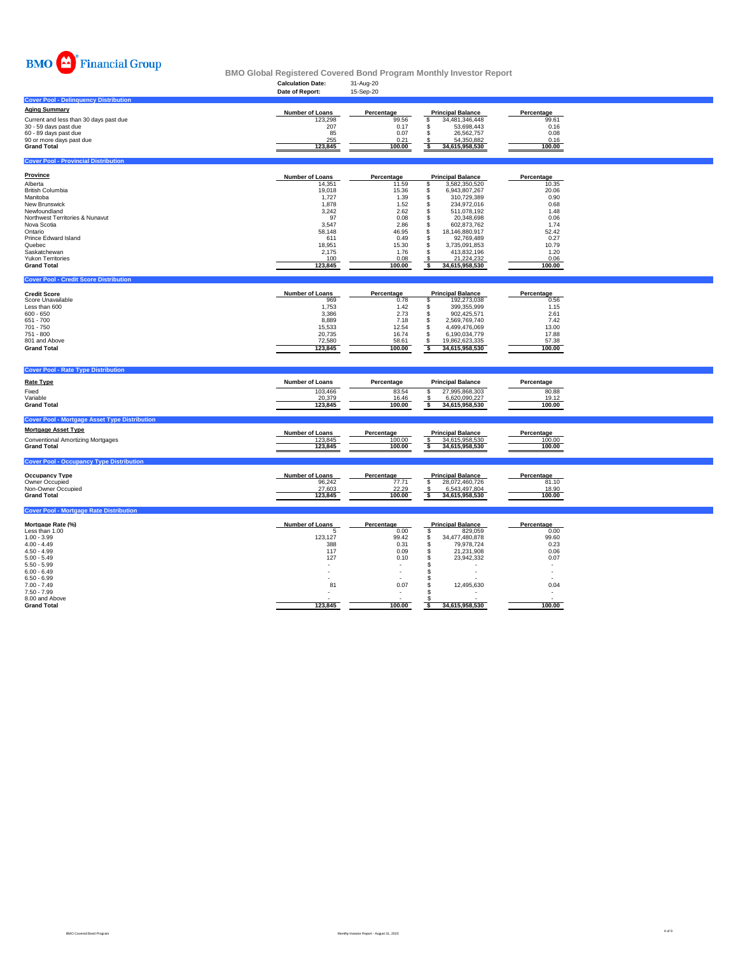

|                                                      |                          |                    | <u>Dino Olopal Itoyibiti cu Ooyel cu Dollu Tivyiulii molitiiy iliyebtol Tepoli</u> |                |  |
|------------------------------------------------------|--------------------------|--------------------|------------------------------------------------------------------------------------|----------------|--|
|                                                      | <b>Calculation Date:</b> | 31-Aug-20          |                                                                                    |                |  |
|                                                      | Date of Report:          | 15-Sep-20          |                                                                                    |                |  |
| <b>Cover Pool - Delinquency Distribution</b>         |                          |                    |                                                                                    |                |  |
|                                                      |                          |                    |                                                                                    |                |  |
| <b>Aging Summary</b>                                 | Number of Loans          | Percentage         | <b>Principal Balance</b>                                                           | Percentage     |  |
| Current and less than 30 days past due               | 123,298                  | 99.56              | 34,481,346,448<br>\$                                                               | 99.61          |  |
| 30 - 59 days past due                                | 207                      | 0.17               | \$<br>53,698,443                                                                   | 0.16           |  |
| 60 - 89 days past due                                | 85                       | 0.07               | \$<br>26,562,757                                                                   | 0.08           |  |
| 90 or more days past due                             | 255                      | 0.21               | 54.350.882                                                                         | 0.16           |  |
| <b>Grand Total</b>                                   | 123,845                  | 100.00             | 34,615,958,530<br>S                                                                | 100.00         |  |
|                                                      |                          |                    |                                                                                    |                |  |
| <b>Cover Pool - Provincial Distribution</b>          |                          |                    |                                                                                    |                |  |
|                                                      |                          |                    |                                                                                    |                |  |
| Province                                             |                          |                    |                                                                                    |                |  |
|                                                      | Number of Loans          | Percentage         | <b>Principal Balance</b>                                                           | Percentage     |  |
| Alberta<br><b>British Columbia</b>                   | 14,351<br>19,018         | 11.59<br>15.36     | 3,582,350,520<br>\$<br>$\mathbb{S}$<br>6,943,807,267                               | 10.35<br>20.06 |  |
| Manitoba                                             | 1,727                    | 1.39               | $\mathbb S$<br>310,729,389                                                         | 0.90           |  |
| New Brunswick                                        | 1,878                    | 1.52               | \$<br>234,972,016                                                                  | 0.68           |  |
| Newfoundland                                         | 3,242                    | 2.62               | \$<br>511,078,192                                                                  | 1.48           |  |
| Northwest Territories & Nunavut                      | 97                       | 0.08               | \$<br>20,348,698                                                                   | 0.06           |  |
| Nova Scotia                                          | 3,547                    | 2.86               | \$<br>602,873,762                                                                  | 1.74           |  |
| Ontario                                              | 58,148                   | 46.95              | $\mathbb{S}$<br>18,146,880,917                                                     | 52.42          |  |
| Prince Edward Island                                 | 611                      | 0.49               | \$<br>92,769,489                                                                   | 0.27           |  |
| Quebec                                               | 18,951                   | 15.30              | \$<br>3,735,091,853                                                                | 10.79          |  |
| Saskatchewan                                         | 2,175                    | 1.76               | s<br>413,832,196                                                                   | 1.20           |  |
| Yukon Territories                                    | 100                      | 0.08               | 21,224,232                                                                         | 0.06           |  |
| <b>Grand Total</b>                                   | 123,845                  | 100.00             | 34,615,958,530<br>s                                                                | 100.00         |  |
|                                                      |                          |                    |                                                                                    |                |  |
| <b>Cover Pool - Credit Score Distribution</b>        |                          |                    |                                                                                    |                |  |
|                                                      |                          |                    |                                                                                    |                |  |
|                                                      | Number of Loans          |                    | <b>Principal Balance</b>                                                           | Percentage     |  |
| <b>Credit Score</b><br>Score Unavailable             | 969                      | Percentage<br>0.78 | 192,273,038                                                                        | 0.56           |  |
|                                                      |                          |                    | \$                                                                                 |                |  |
| Less than 600                                        | 1,753<br>3,386           | 1.42               | \$<br>399,355,999<br>\$                                                            | 1.15           |  |
| $600 - 650$<br>$651 - 700$                           | 8,889                    | 2.73               | 902,425,571<br>$\mathbb{S}$                                                        | 2.61<br>7.42   |  |
| $701 - 750$                                          | 15,533                   | 7.18<br>12.54      | 2,569,769,740<br>\$<br>4,499,476,069                                               | 13.00          |  |
| 751 - 800                                            | 20,735                   | 16.74              | \$<br>6,190,034,779                                                                | 17.88          |  |
| 801 and Above                                        | 72,580                   | 58.61              | \$<br>19,862,623,335                                                               | 57.38          |  |
| <b>Grand Total</b>                                   | 123,845                  | 100.00             | s                                                                                  | 100.00         |  |
|                                                      |                          |                    | 34,615,958,530                                                                     |                |  |
|                                                      |                          |                    |                                                                                    |                |  |
|                                                      |                          |                    |                                                                                    |                |  |
| <b>Cover Pool - Rate Type Distribution</b>           |                          |                    |                                                                                    |                |  |
| <b>Rate Type</b>                                     | Number of Loans          | Percentage         | <b>Principal Balance</b>                                                           | Percentage     |  |
|                                                      |                          |                    |                                                                                    |                |  |
| Fixed                                                | 103,466                  | 83.54              | s<br>27,995,868,303                                                                | 80.88          |  |
| Variable                                             | 20,379                   | 16.46              | 6,620,090,227<br>S                                                                 | 19.12          |  |
| <b>Grand Total</b>                                   | 123,845                  | 100.00             | ॱऽ<br>34,615,958,530                                                               | 100.00         |  |
|                                                      |                          |                    |                                                                                    |                |  |
| <b>Cover Pool - Mortgage Asset Type Distribution</b> |                          |                    |                                                                                    |                |  |
| <b>Mortgage Asset Type</b>                           |                          |                    |                                                                                    |                |  |
|                                                      | Number of Loans          | Percentage         | <b>Principal Balance</b>                                                           | Percentage     |  |
| <b>Conventional Amortizing Mortgages</b>             | 123,845                  | 100.00             | 34,615,958,530<br>£.                                                               | 100.00         |  |
| <b>Grand Total</b>                                   | 123,845                  | 100.00             | s<br>34,615,958,530                                                                | 100.00         |  |
|                                                      |                          |                    |                                                                                    |                |  |
| <b>Cover Pool - Occupancy Type Distribution</b>      |                          |                    |                                                                                    |                |  |
|                                                      |                          |                    |                                                                                    |                |  |
| <b>Occupancy Type</b>                                | <b>Number of Loans</b>   | Percentage         | <b>Principal Balance</b>                                                           | Percentage     |  |
| Owner Occupied                                       | 96,242                   | 77.71              | \$<br>28,072,460,726                                                               | 81.10          |  |
| Non-Owner Occupied                                   | 27,603                   | 22.29              | 6,543,497,804                                                                      | 18.90          |  |
| <b>Grand Total</b>                                   | 123,845                  | 100.00             | $\overline{\mathbf{s}}$<br>34,615,958,530                                          | 100.00         |  |
|                                                      |                          |                    |                                                                                    |                |  |
| <b>Cover Pool - Mortgage Rate Distribution</b>       |                          |                    |                                                                                    |                |  |
|                                                      |                          |                    |                                                                                    |                |  |
| Mortgage Rate (%)                                    | <b>Number of Loans</b>   | Percentage         | <b>Principal Balance</b>                                                           | Percentage     |  |
| Less than 1.00                                       | 5                        | 0.00               | \$<br>829,059                                                                      | 0.00           |  |
| $1.00 - 3.99$                                        | 123,127                  | 99.42              | \$<br>34,477,480,878                                                               | 99.60          |  |
| $4.00 - 4.49$                                        | 388                      | 0.31               | \$<br>79,978,724                                                                   | 0.23           |  |
| $4.50 - 4.99$                                        | 117                      | 0.09               | \$<br>21,231,908                                                                   | 0.06           |  |
|                                                      |                          |                    |                                                                                    | 0.07           |  |
| $5.00 - 5.49$                                        | 127                      | 0.10               | \$<br>23,942,332                                                                   |                |  |
| $5.50 - 5.99$                                        |                          |                    | s                                                                                  |                |  |
| $6.00 - 6.49$                                        |                          |                    | s                                                                                  |                |  |
| $6.50 - 6.99$                                        |                          |                    | S                                                                                  |                |  |
| $7.00 - 7.49$                                        | 81                       | 0.07               | 12,495,630<br>\$                                                                   | 0.04           |  |
| 7.50 - 7.99                                          |                          |                    |                                                                                    |                |  |
| 8.00 and Above<br><b>Grand Total</b>                 | 123,845                  | 100.00             | 34,615,958,530<br>\$                                                               | 100.00         |  |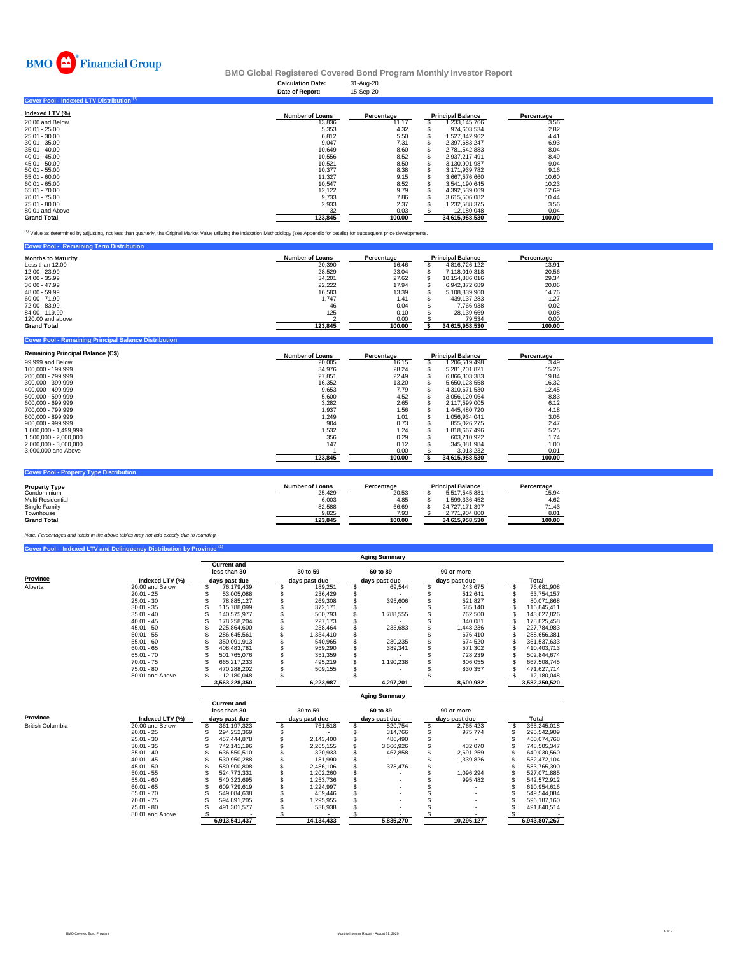

#### **Calculation Date:** 31-Aug-20 **BMO Global Registered Covered Bond Program Monthly Investor Report**

|                                           | Date of Report:        | 15-Sep-20  |                          |            |
|-------------------------------------------|------------------------|------------|--------------------------|------------|
| Cover Pool - Indexed LTV Distribution (1) |                        |            |                          |            |
| Indexed LTV (%)                           | <b>Number of Loans</b> | Percentage | <b>Principal Balance</b> | Percentage |
| 20,00 and Below                           | 13,836                 | 11.17      | 1,233,145,766            | 3.56       |
| $20.01 - 25.00$                           | 5,353                  | 4.32       | 974.603.534              | 2.82       |
| 25.01 - 30.00                             | 6.812                  | 5.50       | 1.527.342.962            | 4.41       |
| $30.01 - 35.00$                           | 9,047                  | 7.31       | 2,397,683,247            | 6.93       |
| $35.01 - 40.00$                           | 10,649                 | 8.60       | 2,781,542,883            | 8.04       |
| $40.01 - 45.00$                           | 10,556                 | 8.52       | 2,937,217,491            | 8.49       |
| $45.01 - 50.00$                           | 10,521                 | 8.50       | 3,130,901,987            | 9.04       |
| $50.01 - 55.00$                           | 10.377                 | 8.38       | 3,171,939,782            | 9.16       |
| $55.01 - 60.00$                           | 11,327                 | 9.15       | 3,667,576,660            | 10.60      |
| $60.01 - 65.00$                           | 10.547                 | 8.52       | 3.541.190.645            | 10.23      |
| 65.01 - 70.00                             | 12,122                 | 9.79       | 4,392,539,069            | 12.69      |
| 70.01 - 75.00                             | 9,733                  | 7.86       | 3,615,506,082            | 10.44      |
| 75.01 - 80.00                             | 2,933                  | 2.37       | 1,232,588,375            | 3.56       |
| 80.01 and Above                           | 32                     | 0.03       | 12,180,048               | 0.04       |
| <b>Grand Total</b>                        | 123,845                | 100.00     | 34,615,958,530           | 100.00     |

<sup>(1)</sup> Value as determined by adjusting, not less than quarterly, the Original Market Value utilizing the Indexation Methodology (see Appendix for details) for subsequent price developments.

| <b>Cover Pool - Remaining Term Distribution</b> |                        |            |                          |            |  |
|-------------------------------------------------|------------------------|------------|--------------------------|------------|--|
| <b>Months to Maturity</b>                       | <b>Number of Loans</b> | Percentage | <b>Principal Balance</b> | Percentage |  |
| Less than 12.00                                 | 20,390                 | 16.46      | 4.816.726.122            | 13.91      |  |
| 12.00 - 23.99                                   | 28.529                 | 23.04      | 7.118.010.318            | 20.56      |  |
| 24.00 - 35.99                                   | 34.201                 | 27.62      | 10.154.886.016           | 29.34      |  |
| $36.00 - 47.99$                                 | 22.222                 | 17.94      | 6.942.372.689            | 20.06      |  |
| 48.00 - 59.99                                   | 16.583                 | 13.39      | 5.108.839.960            | 14.76      |  |
| $60.00 - 71.99$                                 | 1.747                  | 1.41       | 439.137.283              | 1.27       |  |
| 72.00 - 83.99                                   | 46                     | 0.04       | 7.766.938                | 0.02       |  |
| 84.00 - 119.99                                  | 125                    | 0.10       | 28.139.669               | 0.08       |  |
| 120,00 and above                                |                        | 0.00       | 79.534                   | 0.00       |  |
| <b>Grand Total</b>                              | 123,845                | 100.00     | 34,615,958,530           | 100.00     |  |
|                                                 |                        |            |                          |            |  |

| <b>Remaining Principal Balance (C\$)</b> | <b>Number of Loans</b> | Percentage |     | <b>Principal Balance</b> | Percentage |
|------------------------------------------|------------------------|------------|-----|--------------------------|------------|
| 99,999 and Below                         | 20,005                 | 16.15      | \$  | 1.206.519.498            | 3.49       |
| 100.000 - 199.999                        | 34.976                 | 28.24      | S   | 5.281.201.821            | 15.26      |
| 200.000 - 299.999                        | 27,851                 | 22.49      | \$  | 6.866.303.383            | 19.84      |
| 300.000 - 399.999                        | 16.352                 | 13.20      | S   | 5.650.128.558            | 16.32      |
| 400.000 - 499.999                        | 9.653                  | 7.79       | \$  | 4.310.671.530            | 12.45      |
| 500.000 - 599.999                        | 5.600                  | 4.52       | \$. | 3.056.120.064            | 8.83       |
| 600.000 - 699.999                        | 3.282                  | 2.65       | \$  | 2.117.599.005            | 6.12       |
| 700.000 - 799.999                        | 1.937                  | 1.56       |     | 1.445.480.720            | 4.18       |
| 800.000 - 899.999                        | 1,249                  | 1.01       |     | 1.056.934.041            | 3.05       |
| $900.000 - 999.999$                      | 904                    | 0.73       |     | 855.026.275              | 2.47       |
| 1.000.000 - 1.499.999                    | .532                   | 1.24       |     | 1.818.667.496            | 5.25       |
| 1.500.000 - 2.000.000                    | 356                    | 0.29       |     | 603.210.922              | 1.74       |
| 2.000.000 - 3.000.000                    | 147                    | 0.12       |     | 345.081.984              | 1.00       |
| 3,000,000 and Above                      |                        | 0.00       |     | 3.013.232                | 0.01       |
|                                          | 123.845                | 100.00     |     | 34.615.958.530           | 100.00     |

| <b>Cover Pool - Property Type Distribution</b> |                 |            |                          |            |  |  |  |  |  |  |  |  |  |
|------------------------------------------------|-----------------|------------|--------------------------|------------|--|--|--|--|--|--|--|--|--|
| <b>Property Type</b>                           | Number of Loans | Percentage | <b>Principal Balance</b> | Percentage |  |  |  |  |  |  |  |  |  |
| Condominium                                    | 25.429          | 20.53      | 5.517.545.881            | 15.94      |  |  |  |  |  |  |  |  |  |
| Multi-Residential                              | 6.003           | 4.85       | 1.599.336.452            | 4.62       |  |  |  |  |  |  |  |  |  |
| Single Family                                  | 82.588          | 66.69      | 24.727.171.397           | 71.43      |  |  |  |  |  |  |  |  |  |
| Townhouse                                      | 9.825           | 7.93       | 2.771.904.800            | 8.01       |  |  |  |  |  |  |  |  |  |
| <b>Grand Total</b>                             | 123.845         | 100.00     | 34.615.958.530           | 100.00     |  |  |  |  |  |  |  |  |  |

*Note: Percentages and totals in the above tables may not add exactly due to rounding.*

**Diver Pool - Remaining Principal Balance Distribution** 

|          | <b>Aging Summary</b> |                                    |               |           |  |               |  |               |  |               |  |  |  |  |  |
|----------|----------------------|------------------------------------|---------------|-----------|--|---------------|--|---------------|--|---------------|--|--|--|--|--|
|          |                      | <b>Current and</b><br>less than 30 |               | 30 to 59  |  | 60 to 89      |  | 90 or more    |  |               |  |  |  |  |  |
| Province | Indexed LTV (%)      | days past due                      | days past due |           |  | days past due |  | days past due |  | Total         |  |  |  |  |  |
| Alberta  | 20.00 and Below      | 76.179.439                         |               | 189.251   |  | 69.544        |  | 243.675       |  | 76.681.908    |  |  |  |  |  |
|          | $20.01 - 25$         | 53.005.088                         |               | 236.429   |  |               |  | 512.641       |  | 53.754.157    |  |  |  |  |  |
|          | $25.01 - 30$         | 78.885.127                         |               | 269,308   |  | 395,606       |  | 521.827       |  | 80.071.868    |  |  |  |  |  |
|          | $30.01 - 35$         | 115.788.099                        |               | 372.171   |  |               |  | 685.140       |  | 116.845.411   |  |  |  |  |  |
|          | $35.01 - 40$         | 140.575.977                        |               | 500.793   |  | 1.788.555     |  | 762.500       |  | 143.627.826   |  |  |  |  |  |
|          | $40.01 - 45$         | 178.258.204                        |               | 227,173   |  |               |  | 340.081       |  | 178,825,458   |  |  |  |  |  |
|          | $45.01 - 50$         | 225.864.600                        |               | 238,464   |  | 233,683       |  | 1,448,236     |  | 227,784,983   |  |  |  |  |  |
|          | $50.01 - 55$         | 286.645.561                        |               | 1,334,410 |  |               |  | 676.410       |  | 288,656,381   |  |  |  |  |  |
|          | $55.01 - 60$         | 350.091.913                        |               | 540.965   |  | 230.235       |  | 674.520       |  | 351.537.633   |  |  |  |  |  |
|          | $60.01 - 65$         | 408.483.781                        |               | 959,290   |  | 389,341       |  | 571,302       |  | 410,403,713   |  |  |  |  |  |
|          | $65.01 - 70$         | 501.765.076                        |               | 351.359   |  |               |  | 728.239       |  | 502.844.674   |  |  |  |  |  |
|          | $70.01 - 75$         | 665.217.233                        |               | 495.219   |  | 1.190.238     |  | 606.055       |  | 667.508.745   |  |  |  |  |  |
|          | $75.01 - 80$         | 470.288.202                        |               | 509,155   |  |               |  | 830,357       |  | 471,627,714   |  |  |  |  |  |
|          | 80.01 and Above      | 12,180,048                         |               |           |  |               |  |               |  | 12,180,048    |  |  |  |  |  |
|          |                      | 3,563,228,350                      |               | 6,223,987 |  | 4,297,201     |  | 8,600,982     |  | 3,582,350,520 |  |  |  |  |  |

|                         |                 | Aging Summary |                                    |               |            |           |               |            |               |               |             |  |  |  |
|-------------------------|-----------------|---------------|------------------------------------|---------------|------------|-----------|---------------|------------|---------------|---------------|-------------|--|--|--|
|                         |                 |               | <b>Current and</b><br>less than 30 |               | 30 to 59   |           | 60 to 89      |            | 90 or more    |               |             |  |  |  |
| Province                | Indexed LTV (%) |               | days past due                      | days past due |            |           | days past due |            | days past due |               | Total       |  |  |  |
| <b>British Columbia</b> | 20.00 and Below |               | 361.197.323                        |               | 761.518    |           | 520.754       |            | 2.765.423     |               | 365.245.018 |  |  |  |
|                         | $20.01 - 25$    |               | 294.252.369                        |               |            |           | 314.766       |            | 975.774       |               | 295.542.909 |  |  |  |
|                         | $25.01 - 30$    |               | 457.444.878                        |               | 2.143.400  |           | 486.490       |            |               |               | 460.074.768 |  |  |  |
|                         | $30.01 - 35$    |               | 742.141.196                        |               | 2.265.155  |           | 3.666.926     |            | 432.070       |               | 748.505.347 |  |  |  |
|                         | $35.01 - 40$    |               | 636.550.510                        |               | 320.933    |           | 467.858       |            | 2.691.259     |               | 640.030.560 |  |  |  |
|                         | $40.01 - 45$    |               | 530.950.288                        |               | 181.990    |           |               |            | 1.339.826     |               | 532.472.104 |  |  |  |
|                         | $45.01 - 50$    |               | 580.900.808                        |               | 2.486.106  |           | 378,476       |            |               |               | 583.765.390 |  |  |  |
|                         | $50.01 - 55$    |               | 524.773.331                        |               | 1.202.260  |           |               |            | 1.096.294     |               | 527.071.885 |  |  |  |
|                         | $55.01 - 60$    |               | 540.323.695                        |               | 1,253,736  |           |               |            | 995.482       |               | 542,572,912 |  |  |  |
|                         | $60.01 - 65$    |               | 609.729.619                        |               | .224.997   |           |               |            |               |               | 610,954,616 |  |  |  |
|                         | $65.01 - 70$    |               | 549.084.638                        |               | 459,446    |           |               |            |               |               | 549.544.084 |  |  |  |
|                         | $70.01 - 75$    |               | 594.891.205                        |               | .295.955   |           |               |            |               |               | 596.187.160 |  |  |  |
|                         | $75.01 - 80$    |               | 491.301.577                        |               | 538,938    |           |               |            |               |               | 491.840.514 |  |  |  |
|                         | 80.01 and Above |               |                                    |               |            |           |               |            |               |               |             |  |  |  |
|                         |                 | 6,913,541,437 |                                    |               | 14.134.433 | 5.835.270 |               | 10.296.127 |               | 6.943.807.267 |             |  |  |  |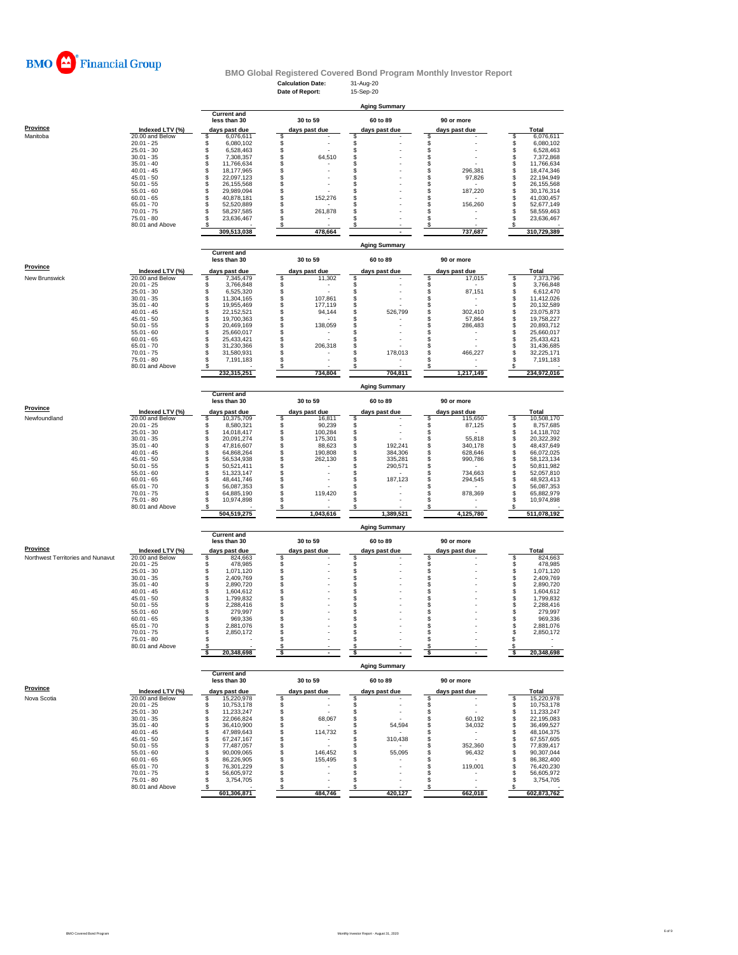

#### **Calculation Date:** 31-Aug-20 **BMO Global Registered Covered Bond Program Monthly Investor Report**

|                                   |                                    |                                          | Date of Report:                                        | 15-Sep-20                     |                               |                                      |
|-----------------------------------|------------------------------------|------------------------------------------|--------------------------------------------------------|-------------------------------|-------------------------------|--------------------------------------|
|                                   |                                    |                                          |                                                        |                               |                               |                                      |
|                                   |                                    | <b>Current and</b>                       |                                                        | <b>Aging Summary</b>          |                               |                                      |
|                                   |                                    | less than 30                             | 30 to 59                                               | 60 to 89                      | 90 or more                    |                                      |
| Province                          | Indexed LTV (%)                    | days past due                            | days past due                                          | days past due                 | days past due                 | Total                                |
| Manitoba                          | 20.00 and Below                    | \$<br>6,076,611                          | S                                                      | S                             | \$                            | \$<br>6,076,611                      |
|                                   | $20.01 - 25$<br>$25.01 - 30$       | \$<br>6,080,102<br>\$<br>6,528,463       | \$<br>\$                                               | \$<br>\$                      | $\ddot{\$}$                   | \$<br>6,080,102<br>\$<br>6,528,463   |
|                                   | $30.01 - 35$                       | \$<br>7,308,357                          | \$<br>64,510                                           | \$                            | \$                            | \$<br>7,372,868                      |
|                                   | $35.01 - 40$                       | \$<br>11,766,634                         | \$                                                     | S                             | \$                            | \$<br>11,766,634                     |
|                                   | $40.01 - 45$                       | \$<br>18,177,965                         | \$                                                     | S                             | \$<br>296,381                 | \$<br>18,474,346                     |
|                                   | $45.01 - 50$<br>$50.01 - 55$       | <b>998</b><br>22.097.123<br>26, 155, 568 | \$<br>\$                                               | S<br>S                        | \$<br>97,826<br>\$            | \$<br>22,194,949<br>\$<br>26,155,568 |
|                                   | $55.01 - 60$                       | 29,989,094                               | \$                                                     | S                             | \$<br>187,220                 | \$<br>30,176,314                     |
|                                   | $60.01 - 65$                       | \$<br>40,878,181                         | \$<br>152,276                                          | \$                            | \$                            | \$<br>41,030,457                     |
|                                   | $65.01 - 70$                       | \$<br>52,520,889                         | \$                                                     | \$                            | \$<br>156,260                 | \$<br>52,677,149                     |
|                                   | $70.01 - 75$                       | \$<br>58,297,585<br>S                    | \$<br>261,878<br>S                                     | S<br>S                        | \$                            | \$<br>58,559,463<br>S                |
|                                   | $75.01 - 80$<br>80.01 and Above    | 23,636,467<br>s                          | \$                                                     | \$                            | \$<br>\$                      | 23,636,467<br>s                      |
|                                   |                                    | 309,513,038                              | 478,664                                                |                               | 737,687                       | 310,729,389                          |
|                                   |                                    |                                          |                                                        |                               |                               |                                      |
|                                   |                                    |                                          |                                                        | <b>Aging Summary</b>          |                               |                                      |
|                                   |                                    | <b>Current and</b><br>less than 30       | 30 to 59                                               | 60 to 89                      | 90 or more                    |                                      |
| Province                          |                                    |                                          |                                                        |                               |                               |                                      |
|                                   | Indexed LTV (%)                    | days past due                            | days past due                                          | days past due                 | days past due                 | Total                                |
| New Brunswick                     | 20.00 and Below                    | \$<br>7,345,479<br>\$                    | \$<br>11,302<br>\$<br>$\sim$                           | \$<br>\$                      | S<br>17,015<br>\$             | \$<br>7,373,796<br>\$                |
|                                   | $20.01 - 25$<br>$25.01 - 30$       | 3,766,848<br>\$<br>6,525,320             | \$                                                     | \$                            | \$<br>87,151                  | 3,766,848<br>\$<br>6,612,470         |
|                                   | $30.01 - 35$                       | \$<br>11,304,165                         | \$<br>107,861                                          | \$                            | \$                            | \$<br>11,412,026                     |
|                                   | $35.01 - 40$                       | \$<br>19,955,469                         | \$<br>177,119                                          | \$                            | \$                            | \$<br>20,132,589                     |
|                                   | $40.01 - 45$                       | \$<br>22,152,521                         | \$<br>94,144                                           | \$<br>526,799                 | \$<br>302,410                 | \$<br>23,075,873                     |
|                                   | $45.01 - 50$<br>$50.01 - 55$       | \$<br>19,700,363<br>20.469.169           | \$<br>\$<br>138,059                                    | S<br>S                        | \$<br>57,864<br>\$<br>286,483 | \$<br>19,758,227<br>\$<br>20,893,712 |
|                                   | $55.01 - 60$                       | \$<br>25,660,017                         | \$                                                     | S                             | \$                            | \$<br>25,660,017                     |
|                                   | $60.01 - 65$                       | \$<br>25,433,421                         | \$<br>$\overline{a}$                                   | S                             | \$                            | \$<br>25,433,421                     |
|                                   | $65.01 - 70$                       | \$<br>31,230,366                         | 206,318<br>\$                                          | \$                            | \$                            | \$<br>31,436,685                     |
|                                   | $70.01 - 75$                       | S<br>31,580,931                          | \$                                                     | 178,013<br>\$                 | \$<br>466,227                 | S<br>32,225,171                      |
|                                   | 75.01 - 80<br>80.01 and Above      | S<br>7,191,183                           | S                                                      | S                             | \$<br>\$                      | S<br>7,191,183                       |
|                                   |                                    | 232,315,251                              | 734.804                                                | 704,811                       | 1,217,149                     | 234.972.016                          |
|                                   |                                    |                                          |                                                        |                               |                               |                                      |
|                                   |                                    |                                          |                                                        | <b>Aging Summary</b>          |                               |                                      |
|                                   |                                    | <b>Current and</b><br>less than 30       | 30 to 59                                               | 60 to 89                      | 90 or more                    |                                      |
| Province                          |                                    |                                          |                                                        |                               |                               |                                      |
| Newfoundland                      | Indexed LTV (%)<br>20.00 and Below | days past due                            | days past due                                          | days past due                 | days past due                 | Total                                |
|                                   | $20.01 - 25$                       | 10,375,709<br>\$<br>S<br>8.580.321       | 16,811<br>S<br>\$<br>90,239                            | \$<br>\$                      | \$<br>115,650<br>\$<br>87,125 | 10,508,170<br>s<br>\$<br>8,757,685   |
|                                   | $25.01 - 30$                       | \$<br>14,018,417                         | \$<br>100,284                                          | \$                            | \$                            | \$<br>14,118,702                     |
|                                   | $30.01 - 35$                       | \$<br>20,091,274                         | \$<br>175,301                                          | \$                            | \$<br>55,818                  | \$<br>20,322,392                     |
|                                   | $35.01 - 40$                       | \$<br>47,816,607                         | \$<br>88,623                                           | \$<br>192,241                 | \$<br>340,178                 | \$<br>48,437,649                     |
|                                   | $40.01 - 45$<br>$45.01 - 50$       | \$<br>64,868,264<br>\$<br>56,534,938     | \$<br>190,808<br>\$<br>262,130                         | \$<br>384,306<br>S<br>335,281 | \$<br>628,646<br>\$           | S<br>66,072,025<br>S<br>58,123,134   |
|                                   | $50.01 - 55$                       | \$<br>50,521,411                         | \$                                                     | \$<br>290,571                 | 990,786<br>\$                 | \$<br>50,811,982                     |
|                                   | $55.01 - 60$                       | \$<br>51,323,147                         | \$<br>$\overline{\phantom{a}}$                         | \$                            | \$<br>734,663                 | S<br>52,057,810                      |
|                                   | $60.01 - 65$                       | \$<br>48,441,746                         | \$                                                     | \$<br>187,123                 | \$<br>294,545                 | \$<br>48,923,413                     |
|                                   | $65.01 - 70$                       | \$<br>56,087,353                         | \$                                                     | S                             | \$                            | \$<br>56,087,353                     |
|                                   | $70.01 - 75$<br>$75.01 - 80$       | \$<br>64,885,190<br>S<br>10,974,898      | \$<br>119,420<br>S                                     | S<br>S                        | \$<br>878,369<br>\$           | \$<br>65,882,979<br>S<br>10,974,898  |
|                                   | 80.01 and Above                    |                                          | S                                                      |                               | s                             | s                                    |
|                                   |                                    | 504,519,275                              | 1,043,616                                              | 1,389,521                     | 4,125,780                     | 511,078,192                          |
|                                   |                                    |                                          |                                                        |                               |                               |                                      |
|                                   |                                    | <b>Current and</b>                       |                                                        | <b>Aging Summary</b>          |                               |                                      |
|                                   |                                    | less than 30                             | 30 to 59                                               | 60 to 89                      | 90 or more                    |                                      |
| <b>Province</b>                   | Indexed LTV (%)                    | days past due                            | days past due                                          | days past due                 | days past due                 | Total                                |
| Northwest Territories and Nunavut | 20.00 and Below                    | \$<br>824,663                            | \$                                                     | \$                            | \$                            | 824,663<br>\$                        |
|                                   | $20.01 - 25$                       | \$<br>478,985                            | \$                                                     | \$                            | \$                            | \$<br>478,985                        |
|                                   | $25.01 - 30$                       | 1,071,120                                | \$                                                     | \$                            |                               | \$<br>1,071,120                      |
|                                   | $30.01 - 35$<br>$35.01 - 40$       | \$\$<br>2,409,769<br>2,890,720           | \$<br>\$                                               | \$<br>\$                      | \$<br>\$                      | \$<br>2,409,769<br>\$                |
|                                   | $40.01 - 45$                       | 1,604,612                                | \$                                                     | \$                            | \$                            | 2,890,720<br>\$<br>1,604,612         |
|                                   | $45.01 - 50$                       | \$<br>1,799,832                          | \$                                                     | \$                            | \$                            | \$<br>1,799,832                      |
|                                   | $50.01 - 55$                       | \$<br>2,288,416                          | \$                                                     | S                             | \$                            | \$<br>2,288,416                      |
|                                   | $55.01 - 60$                       | \$<br>279,997                            | \$                                                     | S                             | \$<br>S                       | \$<br>279,997                        |
|                                   | $60.01 - 65$<br>$65.01 - 70$       | \$<br>969,336<br>\$<br>2,881,076         | \$<br>\$                                               | S<br>S                        | s                             | S<br>969,336<br>S<br>2,881,076       |
|                                   | $70.01 - 75$                       | 2,850,172                                |                                                        |                               |                               | 2,850,172                            |
|                                   | 75.01 - 80                         | \$                                       | \$                                                     | S                             | \$                            | \$                                   |
|                                   | 80.01 and Above                    |                                          |                                                        | S                             | s                             | \$                                   |
|                                   |                                    | 20,348,698                               | \$                                                     | \$                            | \$                            | 20,348,698<br>-\$                    |
|                                   |                                    |                                          |                                                        | <b>Aging Summary</b>          |                               |                                      |
|                                   |                                    | <b>Current and</b>                       |                                                        |                               |                               |                                      |
|                                   |                                    | less than 30                             | 30 to 59                                               | 60 to 89                      | 90 or more                    |                                      |
| Province                          | Indexed LTV (%)                    | days past due                            | days past due                                          | days past due                 | days past due                 | Total                                |
| Nova Scotia                       | 20.00 and Below                    | 15,220,978<br>s                          | \$                                                     | \$                            | S                             | 15,220,978<br>\$                     |
|                                   | $20.01 - 25$<br>$25.01 - 30$       | \$<br>10,753,178<br>\$<br>11,233,247     | \$<br>$\overline{a}$<br>\$<br>$\overline{\phantom{a}}$ | \$<br>\$                      | \$<br>\$                      | \$<br>10,753,178<br>\$<br>11,233,247 |
|                                   | $30.01 - 35$                       | \$<br>22,066,824                         | \$<br>68,067                                           | \$                            | \$<br>60,192                  | \$<br>22,195,083                     |
|                                   | $35.01 - 40$                       | \$<br>36,410,900                         | \$                                                     | 54,594<br>S                   | s<br>34,032                   | \$<br>36,499,527                     |
|                                   | $40.01 - 45$                       | \$<br>47,989,643                         | \$<br>114,732                                          | S                             | \$                            | \$<br>48,104,375                     |
|                                   | $45.01 - 50$                       | \$<br>67,247,167                         | S<br>$\overline{\phantom{a}}$                          | 310,438<br>S                  | \$<br>$\overline{a}$          | 67,557,605<br>s                      |
|                                   | $50.01 - 55$<br>$55.01 - 60$       | \$<br>77,487,057<br>\$<br>90,009,065     | S<br>146,452<br>\$                                     | S<br>55,095<br>S              | \$<br>352,360<br>\$<br>96,432 | 77,839,417<br>\$<br>90,307,044<br>s  |
|                                   | $60.01 - 65$                       | \$<br>86,226,905                         | \$<br>155,495                                          | S                             | \$                            | s<br>86,382,400                      |
|                                   | $65.01 - 70$                       | \$<br>76,301,229                         | \$                                                     | S                             | \$<br>119,001                 | s<br>76,420,230                      |
|                                   | $70.01 - 75$                       | \$<br>56,605,972                         | \$                                                     | £.                            | \$                            | \$<br>56,605,972                     |
|                                   | $75.01 - 80$                       | \$<br>3,754,705                          | \$                                                     | £.                            | \$                            | \$<br>3,754,705                      |
|                                   | 80.01 and Above                    | 601,306,871                              | \$<br>484,746                                          | \$<br>420,127                 | \$<br>662,018                 | s<br>602,873,762                     |
|                                   |                                    |                                          |                                                        |                               |                               |                                      |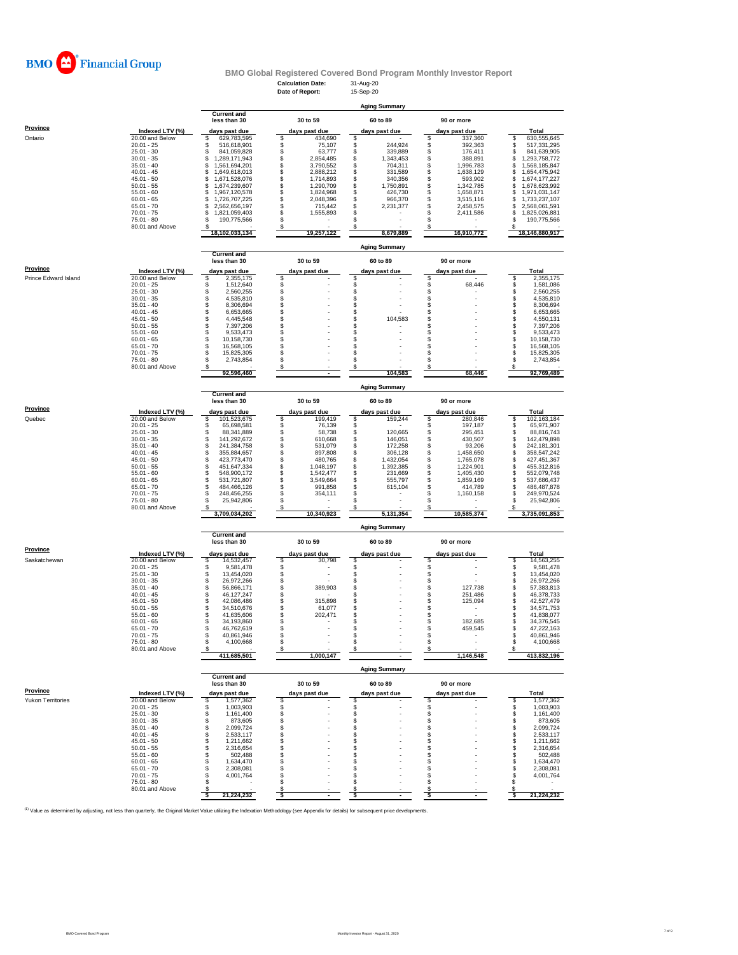

# **BMO Global Registered Covered Bond Program Monthly Investor Report**<br>Calculation Date: 31-Aug-20<br>**Reportive Bondi**: 15-Sep-20

|                                         |                                    |                                            | <b>Calculation Date:</b><br>Date of Report: | 31-Aug-20<br>15-Sep-20           |                                                 |                                            |
|-----------------------------------------|------------------------------------|--------------------------------------------|---------------------------------------------|----------------------------------|-------------------------------------------------|--------------------------------------------|
|                                         |                                    |                                            |                                             |                                  |                                                 |                                            |
|                                         |                                    | <b>Current and</b>                         |                                             | <b>Aging Summary</b>             |                                                 |                                            |
|                                         |                                    | less than 30                               | 30 to 59                                    | 60 to 89                         | 90 or more                                      |                                            |
| <b>Province</b>                         | Indexed LTV (%)                    | days past due                              | days past due                               | days past due                    | days past due                                   | <b>Total</b>                               |
| Ontario                                 | 20.00 and Below<br>$20.01 - 25$    | 629,783,595<br>\$<br>\$<br>516,618,901     | \$<br>434,690<br>75,107<br>\$               | \$<br>\$<br>244,924              | 337,360<br>\$<br>\$<br>392,363                  | \$<br>630,555,645<br>\$<br>517,331,295     |
|                                         | $25.01 - 30$                       | S<br>841,059,828                           | \$<br>63,777                                | \$<br>339,889                    | \$<br>176,411                                   | \$<br>841,639,905                          |
|                                         | $30.01 - 35$<br>$35.01 - 40$       | \$<br>1,289,171,943<br>\$<br>1,561,694,201 | \$<br>2,854,485<br>\$<br>3,790,552          | 1,343,453<br>\$<br>\$<br>704,311 | \$<br>388,891<br>\$<br>1,996,783                | \$<br>1,293,758,772<br>\$<br>1,568,185,847 |
|                                         | $40.01 - 45$                       | \$<br>1,649,618,013                        | \$<br>2,888,212                             | \$<br>331,589                    | \$<br>1,638,129                                 | \$<br>1,654,475,942                        |
|                                         | $45.01 - 50$                       | \$<br>1,671,528,076                        | \$<br>1,714,893                             | \$<br>340,356                    | \$<br>593,902                                   | \$<br>1,674,177,227                        |
|                                         | $50.01 - 55$<br>$55.01 - 60$       | \$<br>1,674,239,607<br>\$<br>1,967,120,578 | \$<br>1,290,709<br>\$<br>1,824,968          | \$<br>1,750,891<br>\$<br>426,730 | \$<br>1,342,785<br>\$<br>1,658,871              | \$<br>1,678,623,992<br>\$<br>1,971,031,147 |
|                                         | $60.01 - 65$                       | \$<br>1,726,707,225                        | \$<br>2,048,396                             | \$<br>966,370                    | \$<br>3,515,116                                 | \$<br>1,733,237,107                        |
|                                         | $65.01 - 70$                       | \$<br>2,562,656,197                        | \$<br>715,442<br>\$                         | 2,231,377<br>S                   | \$<br>2,458,575                                 | \$<br>2,568,061,591                        |
|                                         | $70.01 - 75$<br>$75.01 - 80$       | \$<br>1,821,059,403<br>s<br>190,775,566    | 1,555,893<br>\$                             | S                                | \$<br>2,411,586<br>s                            | \$<br>1,825,026,881<br>S<br>190,775,566    |
|                                         | 80.01 and Above                    |                                            | S                                           |                                  |                                                 |                                            |
|                                         |                                    | 18,102,033,134                             | 19,257,122                                  | 8,679,889                        | 16,910,772                                      | 18,146,880,917                             |
|                                         |                                    | <b>Current and</b>                         |                                             | <b>Aging Summary</b>             |                                                 |                                            |
|                                         |                                    | less than 30                               | 30 to 59                                    | 60 to 89                         | 90 or more                                      |                                            |
| <b>Province</b><br>Prince Edward Island | Indexed LTV (%)<br>20.00 and Below | days past due<br>2,355,175                 | days past due<br>\$                         | days past due<br>\$              | days past due                                   | Total<br>\$<br>2,355,175                   |
|                                         | $20.01 - 25$                       | \$<br>\$<br>1,512,640                      |                                             |                                  | \$<br>68,446                                    | 1,581,086                                  |
|                                         | $25.01 - 30$                       | \$<br>2,560,255                            | \$                                          | \$                               | \$                                              | \$<br>2,560,255                            |
|                                         | $30.01 - 35$<br>$35.01 - 40$       | 4,535,810<br>\$<br>8,306,694               | \$<br>\$                                    | \$<br>\$                         | \$<br>$\dot{\mathbb{S}}$                        | \$<br>4,535,810<br>\$<br>8,306,694         |
|                                         | $40.01 - 45$                       | \$<br>6,653,665                            | \$                                          | \$                               | \$                                              | \$<br>6,653,665                            |
|                                         | $45.01 - 50$                       | 4,445,548<br>\$                            | \$                                          | \$<br>104,583                    | \$                                              | 4,550,131                                  |
|                                         | $50.01 - 55$<br>$55.01 - 60$       | 7,397,206<br>\$<br>9,533,473               | \$<br>\$                                    | S<br>\$                          | \$<br>\$                                        | \$<br>7,397,206<br>\$<br>9,533,473         |
|                                         | $60.01 - 65$                       | s<br>s<br>10,158,730                       | \$                                          | \$                               | \$                                              | \$<br>10.158.730                           |
|                                         | $65.01 - 70$<br>$70.01 - 75$       | 16,568,105<br>\$<br>15,825,305             | \$<br>\$                                    | \$<br>\$                         | \$<br>\$                                        | 16,568,105<br>\$<br>15,825,305             |
|                                         | $75.01 - 80$                       | \$<br>2,743,854                            | \$                                          | \$                               | s                                               | \$<br>2,743,854                            |
|                                         | 80.01 and Above                    |                                            | S                                           | S                                | s                                               | S                                          |
|                                         |                                    | 92,596,460                                 |                                             | 104,583                          | 68,446                                          | 92,769,489                                 |
|                                         |                                    | <b>Current and</b>                         |                                             | <b>Aging Summary</b>             |                                                 |                                            |
|                                         |                                    | less than 30                               | 30 to 59                                    | 60 to 89                         | 90 or more                                      |                                            |
| <b>Province</b>                         | Indexed LTV (%)                    | days past due                              | days past due                               | days past due                    | days past due                                   | Total                                      |
| Quebec                                  | 20.00 and Below                    | 101,523,675<br>\$                          | 199,419<br>\$                               | \$<br>159,244                    | s<br>280,846                                    | 102,163,184<br>s                           |
|                                         | $20.01 - 25$<br>$25.01 - 30$       | 65,698,581<br>\$<br>88,341,889             | \$<br>76,139<br>\$<br>58,738                | \$<br>\$<br>120,665              | \$<br>197,187<br>\$<br>295,451                  | \$<br>65,971,907<br>\$<br>88,816,743       |
|                                         | $30.01 - 35$                       | \$<br>141,292,672                          | \$<br>610,668                               | \$<br>146,051                    | \$<br>430,507                                   | \$<br>142,479,898                          |
|                                         | $35.01 - 40$<br>$40.01 - 45$       | \$<br>241,384,758<br>\$<br>355,884,657     | \$<br>531,079<br>\$<br>897,808              | \$<br>172,258<br>\$<br>306,128   | \$<br>93,206<br>\$<br>1,458,650                 | \$<br>242,181,301<br>\$<br>358,547,242     |
|                                         | $45.01 - 50$                       | \$<br>423,773,470                          | \$<br>480,765                               | \$<br>1,432,054                  | \$<br>1,765,078                                 | \$<br>427,451,367                          |
|                                         | $50.01 - 55$                       | \$<br>451,647,334                          | \$<br>1,048,197                             | \$<br>1,392,385                  | \$<br>1,224,901                                 | \$<br>455,312,816                          |
|                                         | $55.01 - 60$<br>$60.01 - 65$       | \$<br>548,900,172<br>531,721,807           | \$<br>1,542,477<br>\$<br>3,549,664          | 231,669<br>\$<br>\$<br>555,797   | \$<br>1,405,430<br>\$<br>1,859,169              | \$<br>552,079,748<br>537,686,437           |
|                                         | $65.01 - 70$                       | \$<br>484,466,126                          | \$<br>991,858                               | \$<br>615,104                    | \$<br>414,789                                   | \$<br>486, 487, 878                        |
|                                         | $70.01 - 75$                       | \$<br>248,456,255                          | \$<br>354,111                               | \$                               | \$<br>1,160,158                                 | \$<br>249,970,524                          |
|                                         | $75.01 - 80$<br>80.01 and Above    | \$<br>25,942,806                           | \$<br>\$                                    | \$<br>S                          | \$<br>s                                         | Ś<br>25,942,806                            |
|                                         |                                    | 3,709,034,202                              | 10,340,923                                  | 5,131,354                        | 10,585,374                                      | 3,735,091,853                              |
|                                         |                                    | <b>Current and</b>                         |                                             | <b>Aging Summary</b>             |                                                 |                                            |
|                                         |                                    | less than 30                               | 30 to 59                                    | 60 to 89                         | 90 or more                                      |                                            |
| <b>Province</b>                         | Indexed LTV (%)                    | days past due                              | days past due                               | days past due                    | days past due                                   | Total                                      |
| Saskatchewan                            | 20.00 and Below<br>$20.01 - 25$    | 14,532,457<br>s<br>9,581,478<br>\$         | 30,798<br>\$<br>\$                          | S<br>\$                          | S<br>\$                                         | 14.563.255<br>s<br>9,581,478               |
|                                         | $25.01 - 30$                       | \$<br>13,454,020                           | \$                                          | \$                               | \$                                              | \$<br>13,454,020                           |
|                                         | $30.01 - 35$                       | \$<br>26,972,266                           | \$                                          | \$                               | \$                                              | \$<br>26,972,266                           |
|                                         | $35.01 - 40$<br>$40.01 - 45$       | \$<br>56,866,171<br>\$<br>46,127,247       | \$<br>389,903<br>\$                         | \$<br>\$                         | $\ddot{\textbf{s}}$<br>127,738<br>\$<br>251,486 | \$<br>57,383,813<br>\$<br>46,378,733       |
|                                         | $45.01 - 50$                       | S<br>42.086.486                            | \$<br>315,898                               | \$                               | \$<br>125,094                                   | \$<br>42,527,479                           |
|                                         | $50.01 - 55$<br>$55.01 - 60$       | \$<br>34,510,676<br>s<br>41,635,606        | \$<br>61,077<br>\$<br>202,471               | \$<br>S.                         | \$<br>\$                                        | \$<br>34,571,753<br>S<br>41,838,077        |
|                                         | 60.01 - 65                         | 34 193 860                                 |                                             |                                  | 182 685                                         | 34 376 545                                 |
|                                         | $65.01 - 70$                       | \$<br>46,762,619                           | \$                                          | \$                               | \$<br>459,545                                   | \$<br>47,222,163                           |
|                                         | $70.01 - 75$<br>75.01 - 80         | \$<br>40,861,946<br>\$<br>4,100,668        | \$<br>\$                                    | \$<br>\$                         | \$<br>\$                                        | \$<br>40,861,946<br>\$<br>4,100,668        |
|                                         | 80.01 and Above                    |                                            | S                                           | S                                | \$                                              |                                            |
|                                         |                                    | 411,685,501                                | 1.000.147                                   |                                  | 1,146,548                                       | 413,832,196                                |
|                                         |                                    | <b>Current and</b>                         |                                             | <b>Aging Summary</b>             |                                                 |                                            |
|                                         |                                    | less than 30                               | 30 to 59                                    | 60 to 89                         | 90 or more                                      |                                            |
| Province                                | Indexed LTV (%)                    | days past due                              | days past due                               | days past due                    | days past due                                   | Total                                      |
| Yukon Territories                       | 20.00 and Below<br>$20.01 - 25$    | \$<br>1,577,362<br>\$<br>1,003,903         | \$<br>\$                                    | S<br>\$                          | s<br>\$                                         | \$<br>1,577,362<br>\$<br>1,003,903         |
|                                         | $25.01 - 30$                       | \$<br>1,161,400                            | \$                                          | \$                               | \$                                              | \$<br>1,161,400                            |
|                                         | $30.01 - 35$                       | \$<br>873,605                              | \$                                          | \$                               | \$                                              | \$<br>873,605                              |
|                                         | $35.01 - 40$<br>$40.01 - 45$       | \$<br>2,099,724<br>\$<br>2,533,117         | \$<br>S                                     | \$<br>S                          | \$<br>\$                                        | \$<br>2,099,724<br>\$<br>2,533,117         |
|                                         | $45.01 - 50$                       | \$<br>1,211,662                            | S                                           | S                                | \$                                              | \$<br>1,211,662                            |
|                                         | $50.01 - 55$<br>$55.01 - 60$       | \$<br>2,316,654<br>\$<br>502,488           | \$<br>\$                                    | \$<br>\$                         | s<br>\$                                         | \$<br>2,316,654<br>\$<br>502,488           |
|                                         | $60.01 - 65$                       | \$<br>1,634,470                            | S.                                          | S                                | \$                                              | \$<br>1,634,470                            |
|                                         | $65.01 - 70$                       | \$<br>2,308,081                            | S                                           | S                                | \$.                                             | \$<br>2,308,081                            |
|                                         | $70.01 - 75$<br>$75.01 - 80$       | 4,001,764<br>S<br>s                        | \$<br>S                                     | \$<br>S                          | \$<br>\$                                        | 4,001,764<br>S<br>\$                       |
|                                         | 80.01 and Above                    | s<br>21,224,232<br>Ŝ                       | S<br>S                                      | S                                | s<br>s                                          | S<br>21,224,232                            |
|                                         |                                    |                                            |                                             |                                  |                                                 |                                            |

<sup>(1)</sup> Value as determined by adjusting, not less than quarterly, the Original Market Value utilizing the Indexation Methodology (see Appendix for details) for subsequent price developments.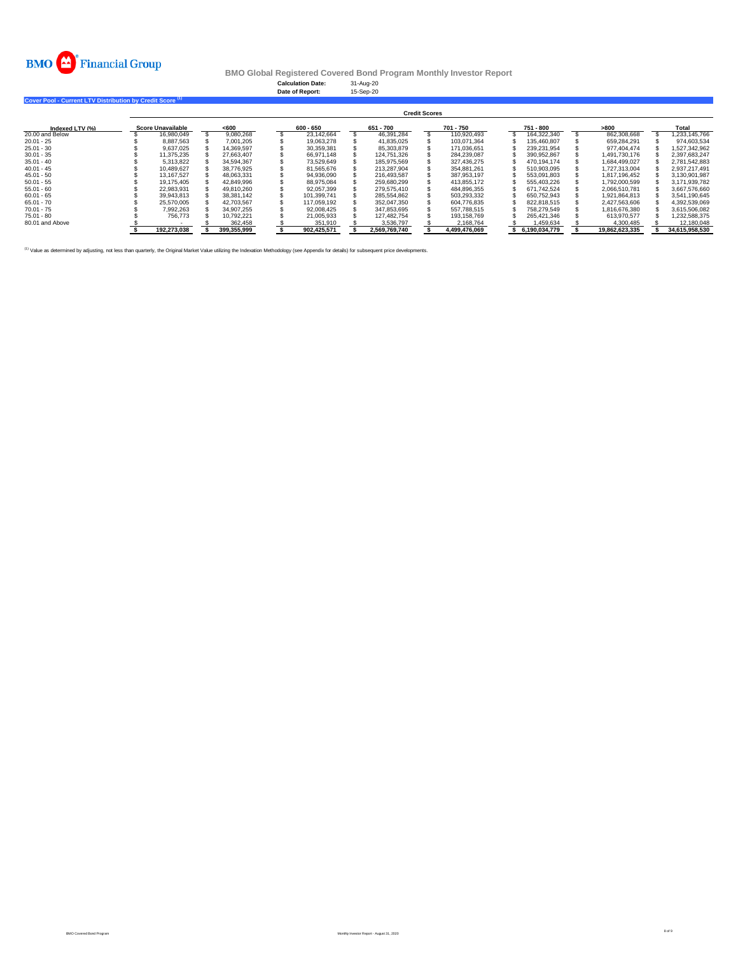

**Calculation Date:** 31-Aug-20 **Date of Report:** 15-Sep-20

**Cover Pool - Current LTV Distribution by Credit Score (1)** 

|                 | <b>Credit Scores</b> |                          |  |             |  |             |  |               |  |               |  |               |                |  |                |
|-----------------|----------------------|--------------------------|--|-------------|--|-------------|--|---------------|--|---------------|--|---------------|----------------|--|----------------|
| Indexed LTV (%) |                      | <b>Score Unavailable</b> |  | < 600       |  | 600 - 650   |  | 651 - 700     |  | 701 - 750     |  | 751 - 800     | >800           |  | Total          |
| 20,00 and Below |                      | 16.980.049               |  | 9.080.268   |  | 23.142.664  |  | 46.391.284    |  | 110.920.493   |  | 164.322.340   | 862.308.668    |  | 1.233.145.766  |
| $20.01 - 25$    |                      | 8.887.563                |  | 7.001.205   |  | 19.063.278  |  | 41.835.025    |  | 103.071.364   |  | 135.460.807   | 659.284.291    |  | 974.603.534    |
| $25.01 - 30$    |                      | 9.637.025                |  | 14.369.597  |  | 30.359.381  |  | 85,303,879    |  | 171.036.651   |  | 239.231.954   | 977.404.474    |  | 1.527.342.962  |
| $30.01 - 35$    |                      | 11.375.235               |  | 27.663.407  |  | 66.971.148  |  | 124.751.326   |  | 284.239.087   |  | 390.952.867   | 1.491.730.176  |  | 2.397.683.247  |
| $35.01 - 40$    |                      | 5.313.822                |  | 34.594.367  |  | 73.529.649  |  | 185.975.569   |  | 327.436.275   |  | 470.194.174   | 1.684.499.027  |  | 2.781.542.883  |
| $40.01 - 45$    |                      | 10.489.627               |  | 38,776,925  |  | 81.565.676  |  | 213.287.904   |  | 354.881.261   |  | 510.903.095   | 1.727.313.004  |  | 2.937.217.491  |
| $45.01 - 50$    |                      | 13.167.527               |  | 48.063.331  |  | 94.936.090  |  | 216.493.587   |  | 387.953.197   |  | 553.091.803   | 1.817.196.452  |  | 3.130.901.987  |
| $50.01 - 55$    |                      | 19.175.405               |  | 42.849.996  |  | 88.975.084  |  | 259.680.299   |  | 413.855.172   |  | 555.403.226   | 1.792.000.599  |  | 3.171.939.782  |
| $55.01 - 60$    |                      | 22.983.931               |  | 49.810.260  |  | 92.057.399  |  | 279.575.410   |  | 484.896.355   |  | 671.742.524   | 2.066.510.781  |  | 3.667.576.660  |
| $60.01 - 65$    |                      | 39.943.813               |  | 38.381.142  |  | 101.399.741 |  | 285.554.862   |  | 503.293.332   |  | 650.752.943   | 1.921.864.813  |  | 3.541.190.645  |
| $65.01 - 70$    |                      | 25.570.005               |  | 42.703.567  |  | 117.059.192 |  | 352.047.350   |  | 604.776.835   |  | 822.818.515   | 2.427.563.606  |  | 4.392.539.069  |
| $70.01 - 75$    |                      | 7.992.263                |  | 34.907.255  |  | 92.008.425  |  | 347.853.695   |  | 557.788.515   |  | 758.279.549   | 1.816.676.380  |  | 3.615.506.082  |
| $75.01 - 80$    |                      | 756.773                  |  | 10.792.221  |  | 21.005.933  |  | 127.482.754   |  | 193.158.769   |  | 265.421.346   | 613.970.577    |  | 1.232.588.375  |
| 80.01 and Above |                      |                          |  | 362.458     |  | 351.910     |  | 3.536.797     |  | 2.168.764     |  | .459.634      | 4.300.485      |  | 12.180.048     |
|                 |                      | 192.273.038              |  | 399.355.999 |  | 902.425.571 |  | 2.569.769.740 |  | 4.499.476.069 |  | 6.190.034.779 | 19.862.623.335 |  | 34,615,958,530 |

<sup>(1)</sup> Value as determined by adjusting, not less than quarterly, the Original Market Value utilizing the Indexation Methodology (see Appendix for details) for subsequent price developments.